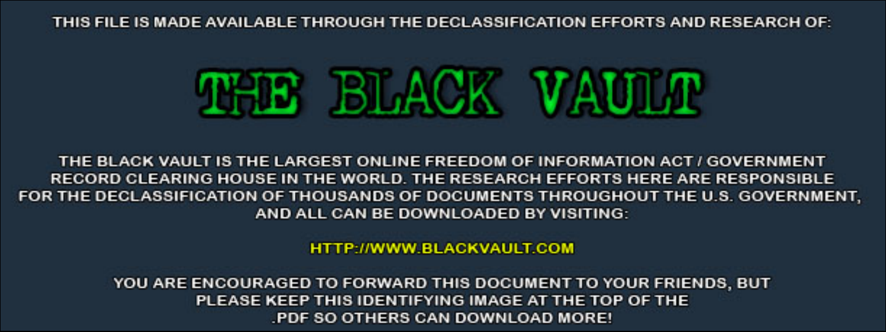THIS FILE IS MADE AVAILABLE THROUGH THE DECLASSIFICATION EFFORTS AND RESEARCH OF:



THE BLACK VAULT IS THE LARGEST ONLINE FREEDOM OF INFORMATION ACT / GOVERNMENT RECORD CLEARING HOUSE IN THE WORLD. THE RESEARCH EFFORTS HERE ARE RESPONSIBLE FOR THE DECLASSIFICATION OF THOUSANDS OF DOCUMENTS THROUGHOUT THE U.S. GOVERNMENT, AND ALL CAN BE DOWNLOADED BY VISITING:

**HTTP://WWW.BLACKVAULT.COM** 

YOU ARE ENCOURAGED TO FORWARD THIS DOCUMENT TO YOUR FRIENDS, BUT PLEASE KEEP THIS IDENTIFYING IMAGE AT THE TOP OF THE PDF SO OTHERS CAN DOWNLOAD MORE!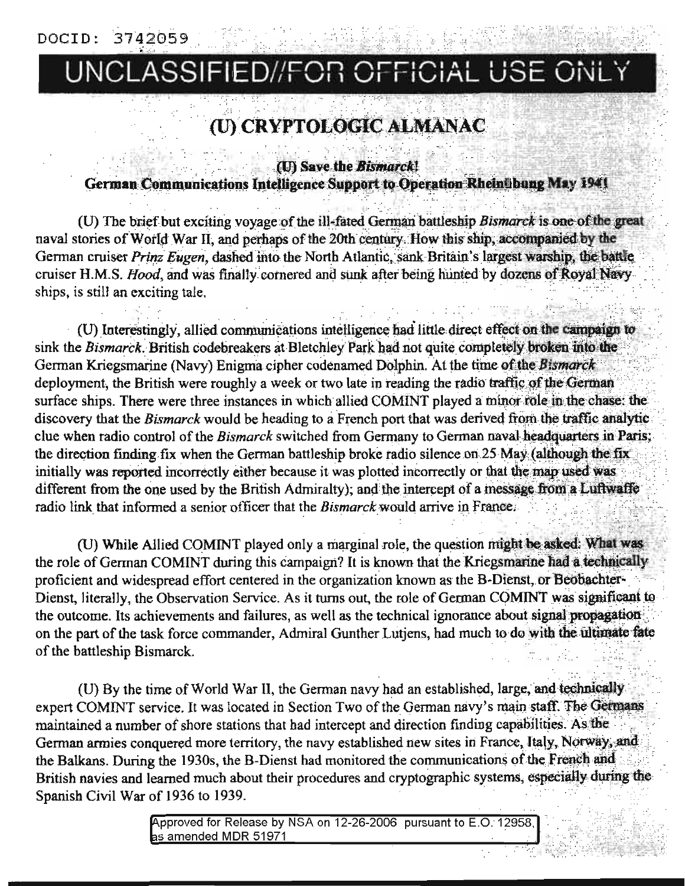## UNCLASSIFIED//FOR OFFICIAL USE ONLY

### (U) CRYPTOLOGIC ALMANAC

(U) Save the Bismarck!

German Communications Intelligence Support to Operation Rheintbung May 1941

(U) The brief but exciting voyage of the ill-fated German battleship Bismarck is one of the great naval stories of World War II, and perhaps of the 20th century. How this ship, accompanied by the German cruiser Prinz Eugen, dashed into the North Atlantic, sank Britain's largest warship, the battle cruiser H.M.S. Hood, and was finally cornered and sunk after being hunted by dozens of Royal Navy ships, is still an exciting tale.

(U) Interestingly, allied communications intelligence had little direct effect on the campaign to sink the Bismarck. British codebreakers at Bletchley Park had not quite completely broken into the German Kriegsmarine (Navy) Enigma cipher codenamed Dolphin. At the time of the Bismarck deployment, the British were roughly a week or two late in reading the radio traffic of the German surface ships. There were three instances in which allied COMINT played a minor role in the chase: the discovery that the Bismarck would be heading to a French port that was derived from the traffic analytic clue when radio control of the Bismarck switched from Germany to German naval headquarters in Paris; the direction finding fix when the German battleship broke radio silence on 25 May (although the fix initially was reported incorrectly either because it was plotted incorrectly or that the map used was different from the one used by the British Admiralty); and the intercept of a message from a Luftwaffe radio link that informed a senior officer that the Bismarck would arrive in France.

(U) While Allied COMINT played only a marginal role, the question might be asked: What was the role of German COMINT during this campaign? It is known that the Kriegsmarine had a technically proficient and widespread effort centered in the organization known as the B-Dienst, or Beobachter-Dienst, literally, the Observation Service. As it turns out, the role of German COMINT was significant to the outcome. Its achievements and failures, as well as the technical ignorance about signal propagationon the part of the task force commander, Admiral Gunther Lutjens, had much to do with the ultimate fate of the battleship Bismarck.

(U) By the time of World War II, the German navy had an established, large, and technically expert COMINT service. It was located in Section Two of the German navy's main staff. The Germans maintained a number of shore stations that had intercept and direction finding capabilities. As the German armies conquered more territory, the navy established new sites in France, Italy, Norway, and the Balkans. During the 1930s, the B-Dienst had monitored the communications of the French and British navies and learned much about their procedures and cryptographic systems, especially during the Spanish Civil War of 1936 to 1939.

> Approved for Release by NSA on 12-26-2006 pursuant to E.O. 12958, as amended MDR 51971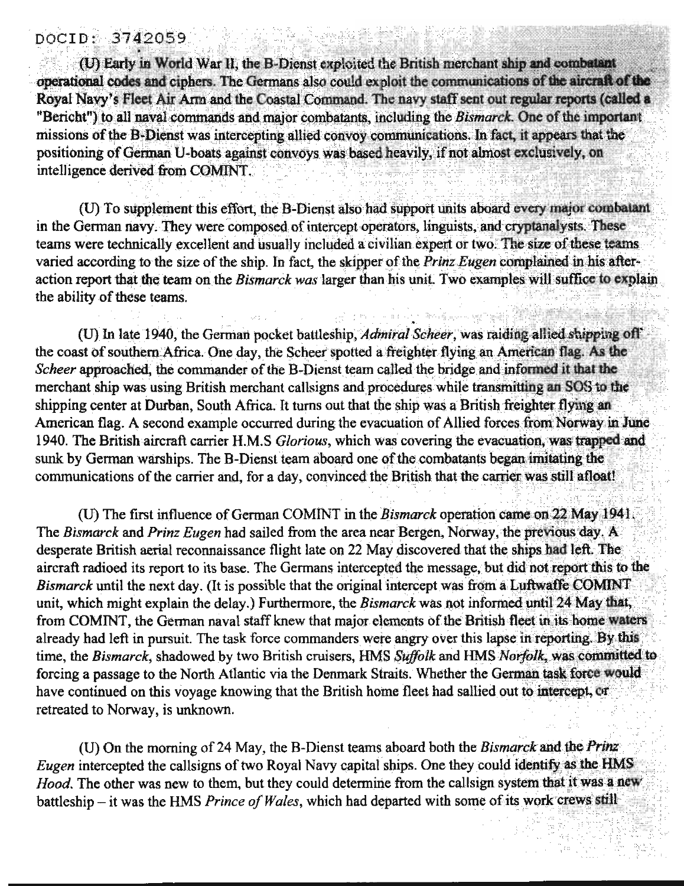#### DOCID: 3742059

(U) Early in World War II, the B-Dienst exploited the British merchant ship and combatant operational codes and ciphers. The Germans also could exploit the communications of the aircraft of the Royal Navy's Fleet Air Arm and the Coastal Command. The navy staff sent out regular reports (called a "Bericht") to all naval commands and major combatants, including the Bismarck. One of the important missions of the B-Dienst was intercepting allied convoy communications. In fact, it appears that the positioning of German U-boats against convoys was based heavily, if not almost exclusively, on intelligence derived from COMINT.

(U) To supplement this effort, the B-Dienst also had support units aboard every major combatant in the German navy. They were composed of intercept operators, linguists, and cryptanalysts. These teams were technically excellent and usually included a civilian expert or two. The size of these teams varied according to the size of the ship. In fact, the skipper of the Prinz Eugen complained in his afteraction report that the team on the Bismarck was larger than his unit. Two examples will suffice to explain the ability of these teams.

(U) In late 1940, the German pocket battleship, Admiral Scheer, was raiding allied shipping off the coast of southern Africa. One day, the Scheer spotted a freighter flying an American flag. As the Scheer approached, the commander of the B-Dienst team called the bridge and informed it that the merchant ship was using British merchant callsigns and procedures while transmitting an SOS to the shipping center at Durban, South Africa. It turns out that the ship was a British freighter flying an American flag. A second example occurred during the evacuation of Allied forces from Norway in June 1940. The British aircraft carrier H.M.S Glorious, which was covering the evacuation, was trapped and sunk by German warships. The B-Dienst team aboard one of the combatants began imitating the communications of the carrier and, for a day, convinced the British that the carrier was still afloat!

(U) The first influence of German COMINT in the Bismarck operation came on 22 May 1941. The Bismarck and Prinz Eugen had sailed from the area near Bergen, Norway, the previous day. A desperate British aerial reconnaissance flight late on 22 May discovered that the ships had left. The aircraft radioed its report to its base. The Germans intercepted the message, but did not report this to the Bismarck until the next day. (It is possible that the original intercept was from a Luftwaffe COMINT unit, which might explain the delay.) Furthermore, the Bismarck was not informed until 24 May that, from COMINT, the German naval staff knew that major elements of the British fleet in its home waters already had left in pursuit. The task force commanders were angry over this lapse in reporting. By this time, the Bismarck, shadowed by two British cruisers, HMS Suffolk and HMS Norfolk, was committed to forcing a passage to the North Atlantic via the Denmark Straits. Whether the German task force would have continued on this voyage knowing that the British home fleet had sallied out to intercept, or retreated to Norway, is unknown.

(U) On the morning of 24 May, the B-Dienst teams aboard both the Bismarck and the Prinz Eugen intercepted the callsigns of two Royal Navy capital ships. One they could identify as the HMS Hood. The other was new to them, but they could determine from the callsign system that it was a new battleship – it was the HMS Prince of Wales, which had departed with some of its work crews still